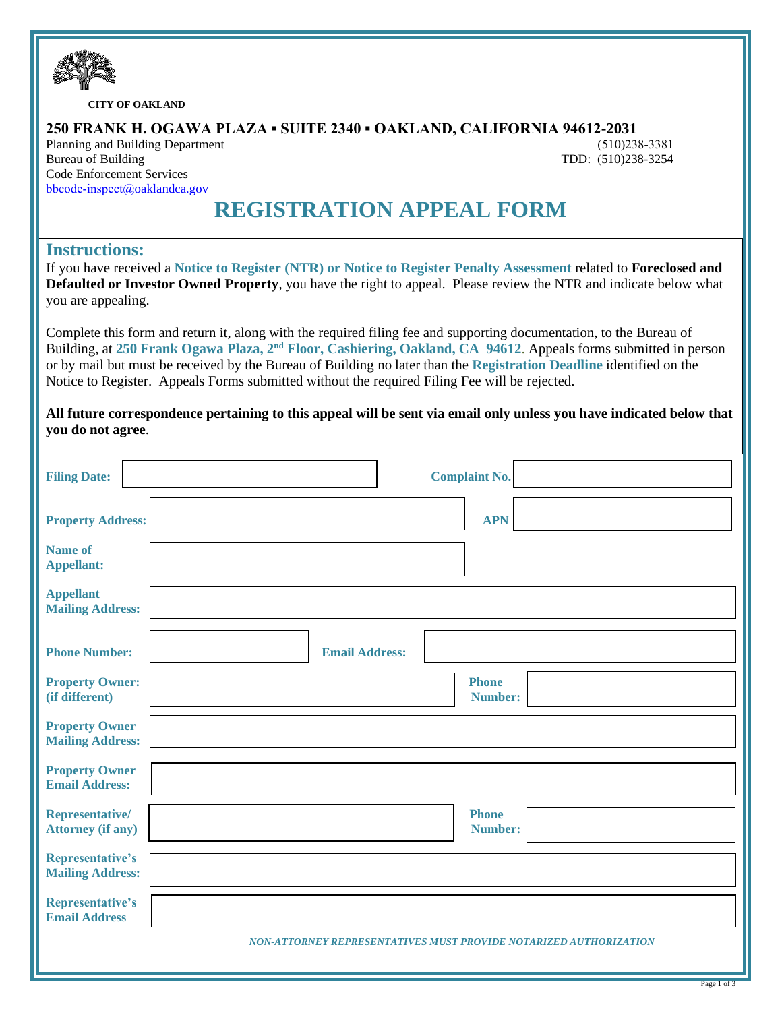

**CITY OF OAKLAND**

### **250 FRANK H. OGAWA PLAZA ▪ SUITE 2340 ▪ OAKLAND, CALIFORNIA 94612-2031**

Planning and Building Department Bureau of Building Code Enforcement Services [bbcode-inspect@](http://www.oaklandca.gov/)oaklandca.gov

(510)238-3381 TDD: (510)238-3254

# **REGISTRATION APPEAL FORM**

## **Instructions:**

If you have received a **Notice to Register (NTR) or Notice to Register Penalty Assessment** related to **Foreclosed and Defaulted or Investor Owned Property**, you have the right to appeal. Please review the NTR and indicate below what you are appealing.

Complete this form and return it, along with the required filing fee and supporting documentation, to the Bureau of Building, at **250 Frank Ogawa Plaza, 2nd Floor, Cashiering, Oakland, CA 94612**. Appeals forms submitted in person or by mail but must be received by the Bureau of Building no later than the **Registration Deadline** identified on the Notice to Register. Appeals Forms submitted without the required Filing Fee will be rejected.

**All future correspondence pertaining to this appeal will be sent via email only unless you have indicated below that you do not agree**.

| <b>Filing Date:</b>                              | <b>Complaint No.</b>                                              |
|--------------------------------------------------|-------------------------------------------------------------------|
| <b>Property Address:</b>                         | <b>APN</b>                                                        |
| <b>Name of</b><br><b>Appellant:</b>              |                                                                   |
| <b>Appellant</b><br><b>Mailing Address:</b>      |                                                                   |
| <b>Phone Number:</b>                             | <b>Email Address:</b>                                             |
| <b>Property Owner:</b><br>(if different)         | <b>Phone</b><br>Number:                                           |
| <b>Property Owner</b><br><b>Mailing Address:</b> |                                                                   |
| <b>Property Owner</b><br><b>Email Address:</b>   |                                                                   |
| Representative/<br><b>Attorney (if any)</b>      | <b>Phone</b><br><b>Number:</b>                                    |
| Representative's<br><b>Mailing Address:</b>      |                                                                   |
| <b>Representative's</b><br><b>Email Address</b>  |                                                                   |
|                                                  | NON-ATTORNEY REPRESENTATIVES MUST PROVIDE NOTARIZED AUTHORIZATION |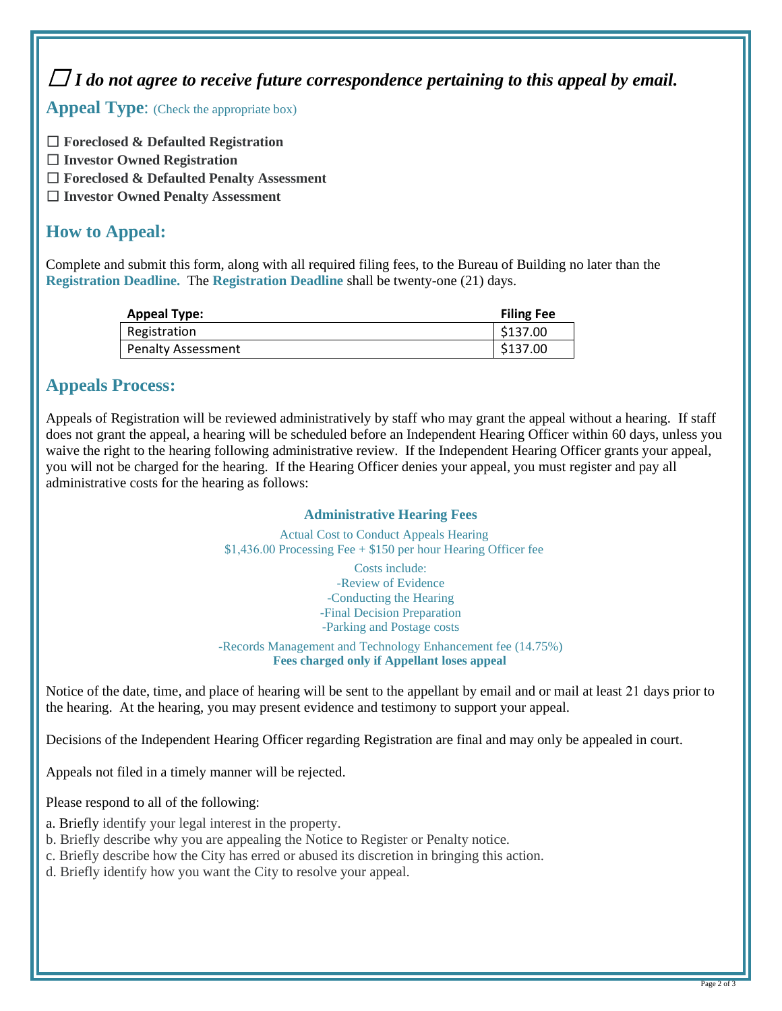☐ *I do not agree to receive future correspondence pertaining to this appeal by email.*

Appeal Type: (Check the appropriate box)

☐ **Foreclosed & Defaulted Registration**

- ☐ **Investor Owned Registration**
- ☐ **Foreclosed & Defaulted Penalty Assessment**
- ☐ **Investor Owned Penalty Assessment**

## **How to Appeal:**

Complete and submit this form, along with all required filing fees, to the Bureau of Building no later than the **Registration Deadline.** The **Registration Deadline** shall be twenty-one (21) days.

| <b>Appeal Type:</b>       | <b>Filing Fee</b> |
|---------------------------|-------------------|
| Registration              | \$137.00          |
| <b>Penalty Assessment</b> | \$137.00          |

## **Appeals Process:**

Appeals of Registration will be reviewed administratively by staff who may grant the appeal without a hearing. If staff does not grant the appeal, a hearing will be scheduled before an Independent Hearing Officer within 60 days, unless you waive the right to the hearing following administrative review. If the Independent Hearing Officer grants your appeal, you will not be charged for the hearing. If the Hearing Officer denies your appeal, you must register and pay all administrative costs for the hearing as follows:

### **Administrative Hearing Fees**

Actual Cost to Conduct Appeals Hearing \$1,436.00 Processing Fee + \$150 per hour Hearing Officer fee

> Costs include: -Review of Evidence -Conducting the Hearing -Final Decision Preparation -Parking and Postage costs

-Records Management and Technology Enhancement fee (14.75%) **Fees charged only if Appellant loses appeal** 

Notice of the date, time, and place of hearing will be sent to the appellant by email and or mail at least 21 days prior to the hearing. At the hearing, you may present evidence and testimony to support your appeal.

Decisions of the Independent Hearing Officer regarding Registration are final and may only be appealed in court.

Appeals not filed in a timely manner will be rejected.

Please respond to all of the following:

- a. Briefly identify your legal interest in the property.
- b. Briefly describe why you are appealing the Notice to Register or Penalty notice.
- c. Briefly describe how the City has erred or abused its discretion in bringing this action.
- d. Briefly identify how you want the City to resolve your appeal.